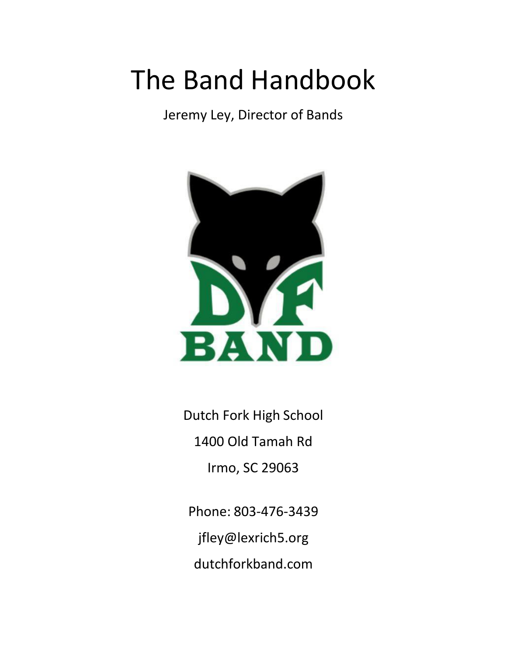# The Band Handbook

Jeremy Ley, Director of Bands



Dutch Fork High School 1400 Old Tamah Rd Irmo, SC 29063

Phone: 803-476-3439 [jfley@lexrich5.org](mailto:jfley@lexrich5.org) dutchforkband.com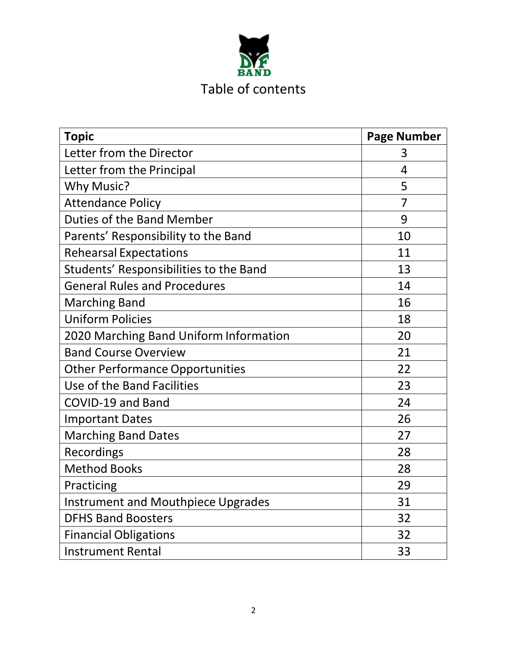

| <b>Topic</b>                              | <b>Page Number</b> |
|-------------------------------------------|--------------------|
| Letter from the Director                  | 3                  |
| Letter from the Principal                 | 4                  |
| <b>Why Music?</b>                         | 5                  |
| <b>Attendance Policy</b>                  | $\overline{7}$     |
| Duties of the Band Member                 | 9                  |
| Parents' Responsibility to the Band       | 10                 |
| <b>Rehearsal Expectations</b>             | 11                 |
| Students' Responsibilities to the Band    | 13                 |
| <b>General Rules and Procedures</b>       | 14                 |
| <b>Marching Band</b>                      | 16                 |
| <b>Uniform Policies</b>                   | 18                 |
| 2020 Marching Band Uniform Information    | 20                 |
| <b>Band Course Overview</b>               | 21                 |
| <b>Other Performance Opportunities</b>    | 22                 |
| Use of the Band Facilities                | 23                 |
| <b>COVID-19 and Band</b>                  | 24                 |
| <b>Important Dates</b>                    | 26                 |
| <b>Marching Band Dates</b>                | 27                 |
| Recordings                                | 28                 |
| <b>Method Books</b>                       | 28                 |
| Practicing                                | 29                 |
| <b>Instrument and Mouthpiece Upgrades</b> | 31                 |
| <b>DFHS Band Boosters</b>                 | 32                 |
| <b>Financial Obligations</b>              | 32                 |
| <b>Instrument Rental</b>                  | 33                 |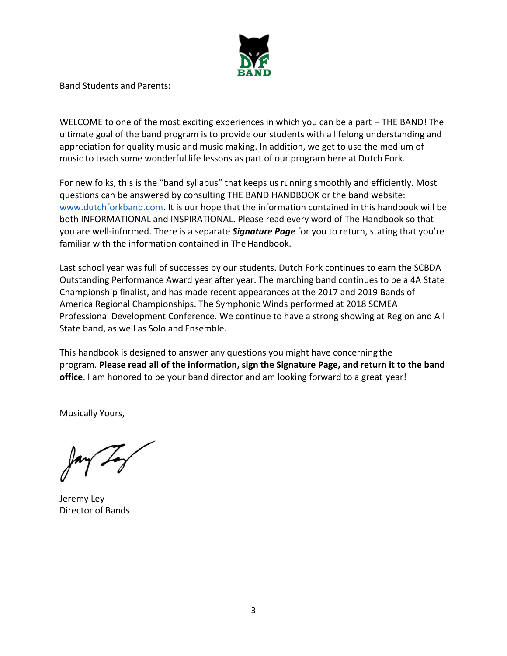

Band Students and Parents:

WELCOME to one of the most exciting experiences in which you can be a part – THE BAND! The ultimate goal of the band program is to provide our students with a lifelong understanding and appreciation for quality music and music making. In addition, we get to use the medium of music to teach some wonderful life lessons as part of our program here at Dutch Fork.

For new folks, this is the "band syllabus" that keeps us running smoothly and efficiently. Most questions can be answered by consulting THE BAND HANDBOOK or the band website: [www.dutchforkband.com.](http://www.dutchforkband.com/) It is our hope that the information contained in this handbook will be both INFORMATIONAL and INSPIRATIONAL. Please read every word of The Handbook so that you are well-informed. There is a separate *Signature Page* for you to return, stating that you're familiar with the information contained in The Handbook.

Last school year was full of successes by our students. Dutch Fork continues to earn the SCBDA Outstanding Performance Award year after year. The marching band continues to be a 4A State Championship finalist, and has made recent appearances at the 2017 and 2019 Bands of America Regional Championships. The Symphonic Winds performed at 2018 SCMEA Professional Development Conference. We continue to have a strong showing at Region and All State band, as well as Solo and Ensemble.

This handbook is designed to answer any questions you might have concerning the program. **Please read all of the information, sign the Signature Page, and return it to the band office**. I am honored to be your band director and am looking forward to a great year!

Musically Yours,

Jeremy Ley Director of Bands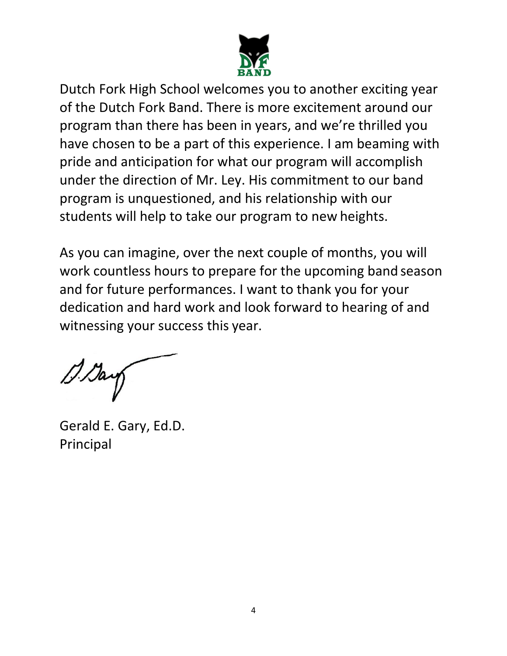

Dutch Fork High School welcomes you to another exciting year of the Dutch Fork Band. There is more excitement around our program than there has been in years, and we're thrilled you have chosen to be a part of this experience. I am beaming with pride and anticipation for what our program will accomplish under the direction of Mr. Ley. His commitment to our band program is unquestioned, and his relationship with our students will help to take our program to new heights.

As you can imagine, over the next couple of months, you will work countless hours to prepare for the upcoming band season and for future performances. I want to thank you for your dedication and hard work and look forward to hearing of and witnessing your success this year.

Gerald E. Gary, Ed.D. Principal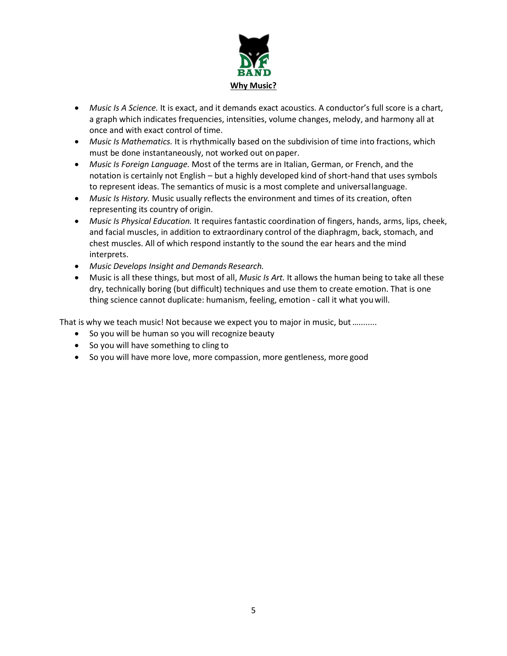

- *Music Is A Science.* It is exact, and it demands exact acoustics. A conductor's full score is a chart, a graph which indicates frequencies, intensities, volume changes, melody, and harmony all at once and with exact control of time.
- *Music Is Mathematics.* It is rhythmically based on the subdivision of time into fractions, which must be done instantaneously, not worked out onpaper.
- *Music Is Foreign Language.* Most of the terms are in Italian, German, or French, and the notation is certainly not English – but a highly developed kind of short-hand that uses symbols to represent ideas. The semantics of music is a most complete and universallanguage.
- *Music Is History.* Music usually reflects the environment and times of its creation, often representing its country of origin.
- *Music Is Physical Education.* It requires fantastic coordination of fingers, hands, arms, lips, cheek, and facial muscles, in addition to extraordinary control of the diaphragm, back, stomach, and chest muscles. All of which respond instantly to the sound the ear hears and the mind interprets.
- *Music Develops Insight and Demands Research.*
- Music is all these things, but most of all, *Music Is Art.* It allows the human being to take all these dry, technically boring (but difficult) techniques and use them to create emotion. That is one thing science cannot duplicate: humanism, feeling, emotion - call it what youwill.

That is why we teach music! Not because we expect you to major in music, but ..........

- So you will be human so you will recognize beauty
- So you will have something to cling to
- So you will have more love, more compassion, more gentleness, more good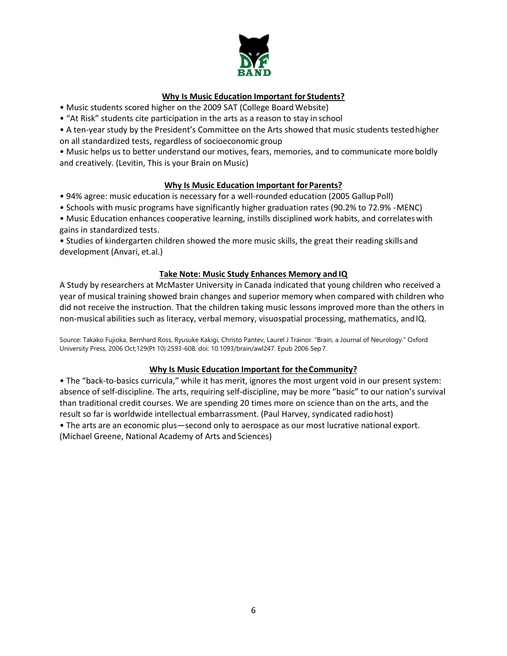

#### **Why Is Music Education Important for Students?**

- Music students scored higher on the 2009 SAT (College Board Website)
- "At Risk" students cite participation in the arts as a reason to stay in school
- A ten-year study by the President's Committee on the Arts showed that music students testedhigher on all standardized tests, regardless of socioeconomic group

• Music helps us to better understand our motives, fears, memories, and to communicate more boldly and creatively. (Levitin, This is your Brain on Music)

#### **Why Is Music Education Important for Parents?**

- 94% agree: music education is necessary for a well-rounded education (2005 GallupPoll)
- Schools with music programs have significantly higher graduation rates (90.2% to 72.9% -MENC)

• Music Education enhances cooperative learning, instills disciplined work habits, and correlateswith gains in standardized tests.

• Studies of kindergarten children showed the more music skills, the great their reading skills and development (Anvari, et.al.)

#### **Take Note: Music Study Enhances Memory and IQ**

A Study by researchers at McMaster University in Canada indicated that young children who received a year of musical training showed brain changes and superior memory when compared with children who did not receive the instruction. That the children taking music lessons improved more than the others in non-musical abilities such as literacy, verbal memory, visuospatial processing, mathematics, andIQ.

Source: Takako Fujioka, Bernhard Ross, Ryusuke Kakigi, Christo Pantev, Laurel J Trainor. "Brain, a Journal of Neurology." Oxford University Press, 2006 Oct;129(Pt 10):2593-608. doi: 10.1093/brain/awl247. Epub 2006 Sep7.

#### **Why Is Music Education Important for theCommunity?**

• The "back-to-basics curricula," while it has merit, ignores the most urgent void in our present system: absence of self-discipline. The arts, requiring self-discipline, may be more "basic" to our nation's survival than traditional credit courses. We are spending 20 times more on science than on the arts, and the result so far is worldwide intellectual embarrassment. (Paul Harvey, syndicated radiohost) • The arts are an economic plus—second only to aerospace as our most lucrative national export. (Michael Greene, National Academy of Arts and Sciences)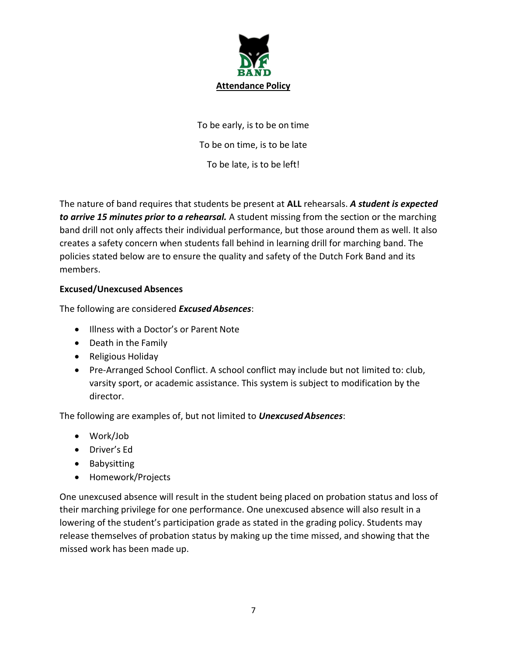

To be early, is to be on time To be on time, is to be late To be late, is to be left!

The nature of band requires that students be present at **ALL** rehearsals. *A student is expected to arrive 15 minutes prior to a rehearsal.* A student missing from the section or the marching band drill not only affects their individual performance, but those around them as well. It also creates a safety concern when students fall behind in learning drill for marching band. The policies stated below are to ensure the quality and safety of the Dutch Fork Band and its members.

# **Excused/Unexcused Absences**

The following are considered *Excused Absences*:

- Illness with a Doctor's or Parent Note
- Death in the Family
- Religious Holiday
- Pre-Arranged School Conflict. A school conflict may include but not limited to: club, varsity sport, or academic assistance. This system is subject to modification by the director.

The following are examples of, but not limited to *UnexcusedAbsences*:

- Work/Job
- Driver's Ed
- Babysitting
- Homework/Projects

One unexcused absence will result in the student being placed on probation status and loss of their marching privilege for one performance. One unexcused absence will also result in a lowering of the student's participation grade as stated in the grading policy. Students may release themselves of probation status by making up the time missed, and showing that the missed work has been made up.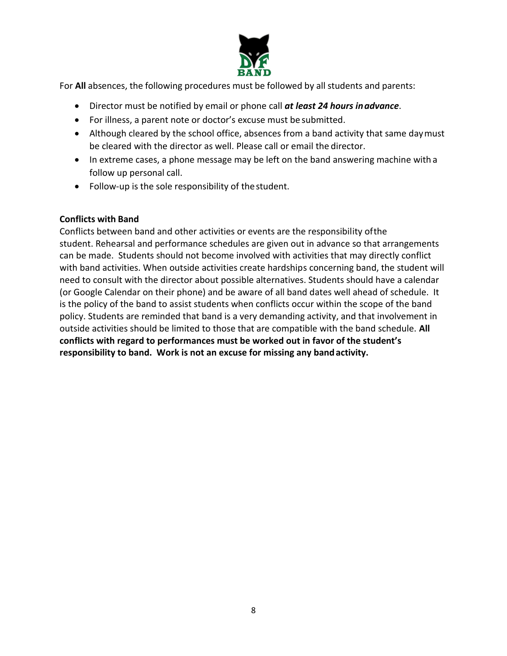

For **All** absences, the following procedures must be followed by all students and parents:

- Director must be notified by email or phone call *at least 24 hours inadvance*.
- For illness, a parent note or doctor's excuse must be submitted.
- Although cleared by the school office, absences from a band activity that same daymust be cleared with the director as well. Please call or email the director.
- In extreme cases, a phone message may be left on the band answering machine with a follow up personal call.
- Follow-up is the sole responsibility of thestudent.

# **Conflicts with Band**

Conflicts between band and other activities or events are the responsibility ofthe student. Rehearsal and performance schedules are given out in advance so that arrangements can be made. Students should not become involved with activities that may directly conflict with band activities. When outside activities create hardships concerning band, the student will need to consult with the director about possible alternatives. Students should have a calendar (or Google Calendar on their phone) and be aware of all band dates well ahead of schedule. It is the policy of the band to assist students when conflicts occur within the scope of the band policy. Students are reminded that band is a very demanding activity, and that involvement in outside activities should be limited to those that are compatible with the band schedule. **All conflicts with regard to performances must be worked out in favor of the student's responsibility to band. Work is not an excuse for missing any bandactivity.**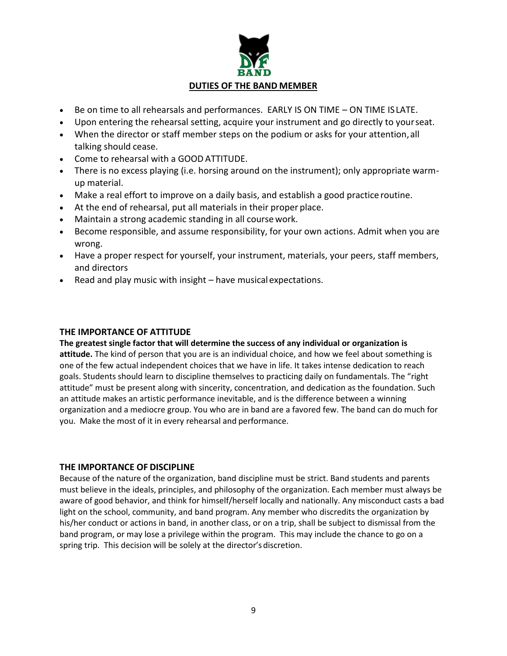# **DUTIES OF THE BAND MEMBER**

- Be on time to all rehearsals and performances. EARLY IS ON TIME ON TIME ISLATE.
- Upon entering the rehearsal setting, acquire your instrument and go directly to yourseat.
- When the director or staff member steps on the podium or asks for your attention,all talking should cease.
- Come to rehearsal with a GOOD ATTITUDE.
- There is no excess playing (i.e. horsing around on the instrument); only appropriate warmup material.
- Make a real effort to improve on a daily basis, and establish a good practice routine.
- At the end of rehearsal, put all materials in their proper place.
- Maintain a strong academic standing in all course work.
- Become responsible, and assume responsibility, for your own actions. Admit when you are wrong.
- Have a proper respect for yourself, your instrument, materials, your peers, staff members, and directors
- Read and play music with insight have musicalexpectations.

#### **THE IMPORTANCE OF ATTITUDE**

**The greatest single factor that will determine the success of any individual or organization is attitude.** The kind of person that you are is an individual choice, and how we feel about something is one of the few actual independent choices that we have in life. It takes intense dedication to reach goals. Students should learn to discipline themselves to practicing daily on fundamentals. The "right attitude" must be present along with sincerity, concentration, and dedication as the foundation. Such an attitude makes an artistic performance inevitable, and is the difference between a winning organization and a mediocre group. You who are in band are a favored few. The band can do much for you. Make the most of it in every rehearsal and performance.

#### **THE IMPORTANCE OF DISCIPLINE**

Because of the nature of the organization, band discipline must be strict. Band students and parents must believe in the ideals, principles, and philosophy of the organization. Each member must always be aware of good behavior, and think for himself/herself locally and nationally. Any misconduct casts a bad light on the school, community, and band program. Any member who discredits the organization by his/her conduct or actions in band, in another class, or on a trip, shall be subject to dismissal from the band program, or may lose a privilege within the program. This may include the chance to go on a spring trip. This decision will be solely at the director's discretion.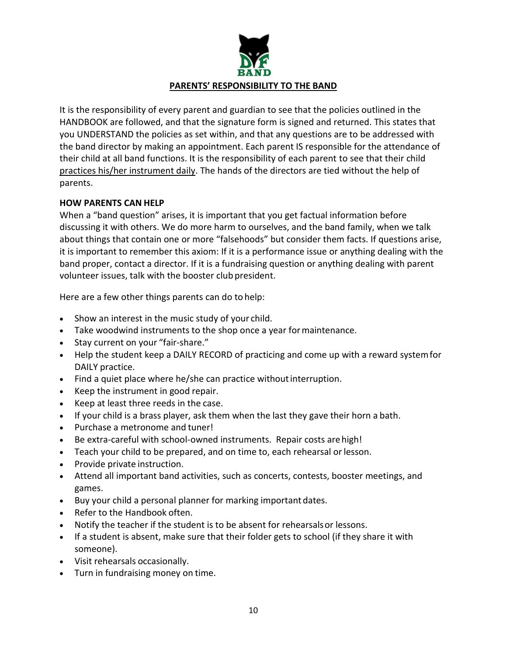

It is the responsibility of every parent and guardian to see that the policies outlined in the HANDBOOK are followed, and that the signature form is signed and returned. This states that you UNDERSTAND the policies as set within, and that any questions are to be addressed with the band director by making an appointment. Each parent IS responsible for the attendance of their child at all band functions. It is the responsibility of each parent to see that their child practices his/her instrument daily. The hands of the directors are tied without the help of parents.

# **HOW PARENTS CAN HELP**

When a "band question" arises, it is important that you get factual information before discussing it with others. We do more harm to ourselves, and the band family, when we talk about things that contain one or more "falsehoods" but consider them facts. If questions arise, it is important to remember this axiom: If it is a performance issue or anything dealing with the band proper, contact a director. If it is a fundraising question or anything dealing with parent volunteer issues, talk with the booster club president.

Here are a few other things parents can do to help:

- Show an interest in the music study of your child.
- Take woodwind instruments to the shop once a year formaintenance.
- Stay current on your "fair-share."
- Help the student keep a DAILY RECORD of practicing and come up with a reward systemfor DAILY practice.
- Find a quiet place where he/she can practice without interruption.
- Keep the instrument in good repair.
- Keep at least three reeds in the case.
- If your child is a brass player, ask them when the last they gave their horn a bath.
- Purchase a metronome and tuner!
- Be extra-careful with school-owned instruments. Repair costs arehigh!
- Teach your child to be prepared, and on time to, each rehearsal orlesson.
- Provide private instruction.
- Attend all important band activities, such as concerts, contests, booster meetings, and games.
- Buy your child a personal planner for marking important dates.
- Refer to the Handbook often.
- Notify the teacher if the student is to be absent for rehearsalsor lessons.
- If a student is absent, make sure that their folder gets to school (if they share it with someone).
- Visit rehearsals occasionally.
- Turn in fundraising money on time.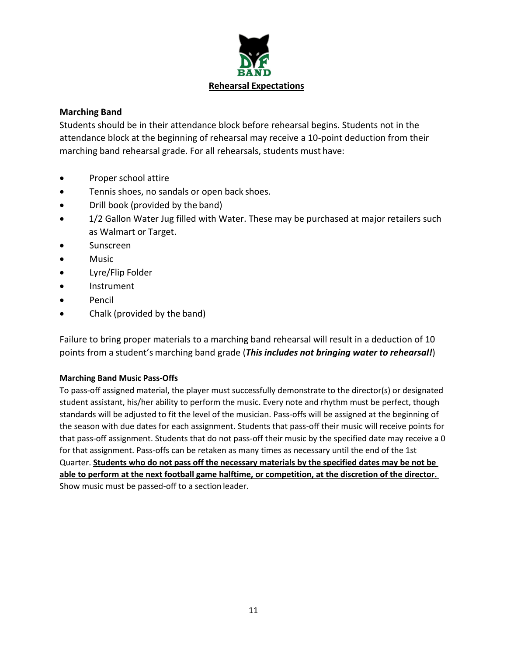

# **Marching Band**

Students should be in their attendance block before rehearsal begins. Students not in the attendance block at the beginning of rehearsal may receive a 10-point deduction from their marching band rehearsal grade. For all rehearsals, students must have:

- Proper school attire
- Tennis shoes, no sandals or open back shoes.
- Drill book (provided by the band)
- 1/2 Gallon Water Jug filled with Water. These may be purchased at major retailers such as Walmart or Target.
- Sunscreen
- Music
- Lyre/Flip Folder
- Instrument
- Pencil
- Chalk (provided by the band)

Failure to bring proper materials to a marching band rehearsal will result in a deduction of 10 points from a student's marching band grade (*This includes not bringing water to rehearsal!*)

#### **Marching Band Music Pass-Offs**

To pass-off assigned material, the player must successfully demonstrate to the director(s) or designated student assistant, his/her ability to perform the music. Every note and rhythm must be perfect, though standards will be adjusted to fit the level of the musician. Pass-offs will be assigned at the beginning of the season with due dates for each assignment. Students that pass-off their music will receive points for that pass-off assignment. Students that do not pass-off their music by the specified date may receive a 0 for that assignment. Pass-offs can be retaken as many times as necessary until the end of the 1st Quarter. **Students who do not pass off the necessary materials by the specified dates may be not be able to perform at the next football game halftime, or competition, at the discretion of the director.**  Show music must be passed-off to a section leader.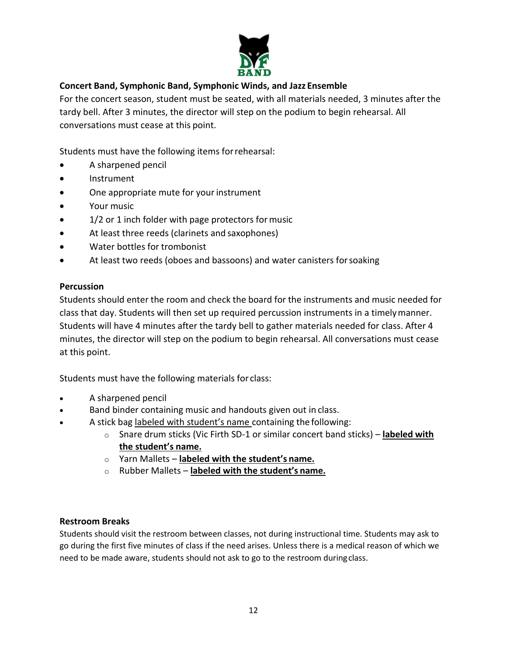

# **Concert Band, Symphonic Band, Symphonic Winds, and Jazz Ensemble**

For the concert season, student must be seated, with all materials needed, 3 minutes after the tardy bell. After 3 minutes, the director will step on the podium to begin rehearsal. All conversations must cease at this point.

Students must have the following items forrehearsal:

- A sharpened pencil
- Instrument
- One appropriate mute for your instrument
- Your music
- 1/2 or 1 inch folder with page protectors for music
- At least three reeds (clarinets and saxophones)
- Water bottles for trombonist
- At least two reeds (oboes and bassoons) and water canisters forsoaking

# **Percussion**

Students should enter the room and check the board for the instruments and music needed for class that day. Students will then set up required percussion instruments in a timelymanner. Students will have 4 minutes after the tardy bell to gather materials needed for class. After 4 minutes, the director will step on the podium to begin rehearsal. All conversations must cease at this point.

Students must have the following materials for class:

- A sharpened pencil
- Band binder containing music and handouts given out in class.
- A stick bag labeled with student's name containing the following:
	- o Snare drum sticks (Vic Firth SD-1 or similar concert band sticks) **labeled with the student's name.**
	- o Yarn Mallets **labeled with the student's name.**
	- o Rubber Mallets **labeled with the student's name.**

# **Restroom Breaks**

Students should visit the restroom between classes, not during instructional time. Students may ask to go during the first five minutes of class if the need arises. Unless there is a medical reason of which we need to be made aware, students should not ask to go to the restroom duringclass.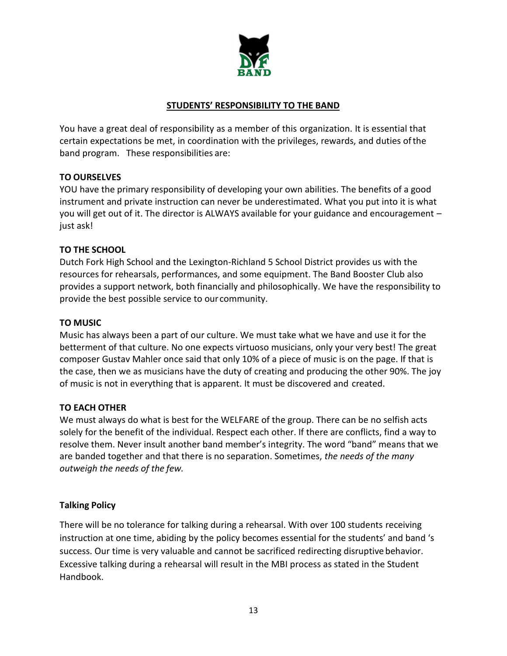

# **STUDENTS' RESPONSIBILITY TO THE BAND**

You have a great deal of responsibility as a member of this organization. It is essential that certain expectations be met, in coordination with the privileges, rewards, and duties ofthe band program. These responsibilities are:

# **TO OURSELVES**

YOU have the primary responsibility of developing your own abilities. The benefits of a good instrument and private instruction can never be underestimated. What you put into it is what you will get out of it. The director is ALWAYS available for your guidance and encouragement – just ask!

# **TO THE SCHOOL**

Dutch Fork High School and the Lexington-Richland 5 School District provides us with the resources for rehearsals, performances, and some equipment. The Band Booster Club also provides a support network, both financially and philosophically. We have the responsibility to provide the best possible service to our community.

# **TO MUSIC**

Music has always been a part of our culture. We must take what we have and use it for the betterment of that culture. No one expects virtuoso musicians, only your very best! The great composer Gustav Mahler once said that only 10% of a piece of music is on the page. If that is the case, then we as musicians have the duty of creating and producing the other 90%. The joy of music is not in everything that is apparent. It must be discovered and created.

# **TO EACH OTHER**

We must always do what is best for the WELFARE of the group. There can be no selfish acts solely for the benefit of the individual. Respect each other. If there are conflicts, find a way to resolve them. Never insult another band member's integrity. The word "band" means that we are banded together and that there is no separation. Sometimes, *the needs of the many outweigh the needs of the few.*

# **Talking Policy**

There will be no tolerance for talking during a rehearsal. With over 100 students receiving instruction at one time, abiding by the policy becomes essential for the students' and band 's success. Our time is very valuable and cannot be sacrificed redirecting disruptive behavior. Excessive talking during a rehearsal will result in the MBI process as stated in the Student Handbook.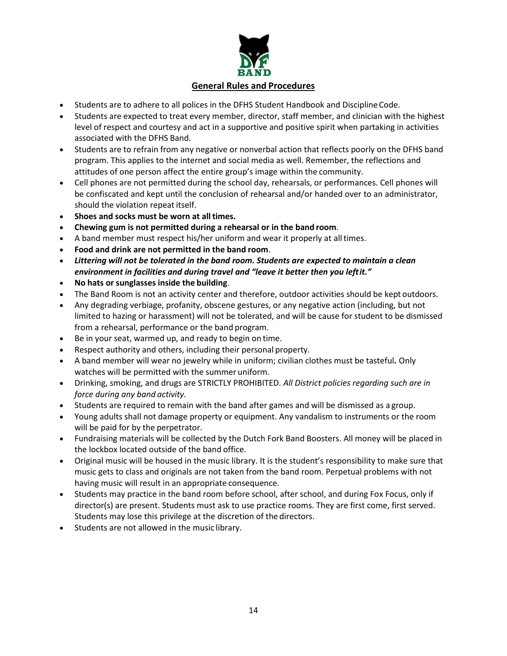

- Students are to adhere to all polices in the DFHS Student Handbook and DisciplineCode.
- Students are expected to treat every member, director, staff member, and clinician with the highest level of respect and courtesy and act in a supportive and positive spirit when partaking in activities associated with the DFHS Band.
- Students are to refrain from any negative or nonverbal action that reflects poorly on the DFHS band program. This applies to the internet and social media as well. Remember, the reflections and attitudes of one person affect the entire group's image within the community.
- Cell phones are not permitted during the school day, rehearsals, or performances. Cell phones will be confiscated and kept until the conclusion of rehearsal and/or handed over to an administrator, should the violation repeat itself.
- **Shoes and socks must be worn at alltimes.**
- **Chewing gum is not permitted during a rehearsal or in the band room**.
- A band member must respect his/her uniform and wear it properly at alltimes.
- **Food and drink are not permitted in the band room**.
- *Littering will not be tolerated in the band room. Students are expected to maintain a clean environment in facilities and during travel and "leave it better then you leftit."*
- **No hats or sunglasses inside the building**.
- The Band Room is not an activity center and therefore, outdoor activities should be kept outdoors.
- Any degrading verbiage, profanity, obscene gestures, or any negative action (including, but not limited to hazing or harassment) will not be tolerated, and will be cause for student to be dismissed from a rehearsal, performance or the band program.
- Be in your seat, warmed up, and ready to begin on time.
- Respect authority and others, including their personal property.
- A band member will wear no jewelry while in uniform; civilian clothes must be tasteful*.* Only watches will be permitted with the summer uniform.
- Drinking, smoking, and drugs are STRICTLY PROHIBITED. *All District policies regarding such are in force during any band activity.*
- Students are required to remain with the band after games and will be dismissed as a group.
- Young adults shall not damage property or equipment. Any vandalism to instruments or the room will be paid for by the perpetrator.
- Fundraising materials will be collected by the Dutch Fork Band Boosters. All money will be placed in the lockbox located outside of the band office.
- Original music will be housed in the music library. It is the student's responsibility to make sure that music gets to class and originals are not taken from the band room. Perpetual problems with not having music will result in an appropriate consequence.
- Students may practice in the band room before school, after school, and during Fox Focus, only if director(s) are present. Students must ask to use practice rooms. They are first come, first served. Students may lose this privilege at the discretion of the directors.
- Students are not allowed in the music library.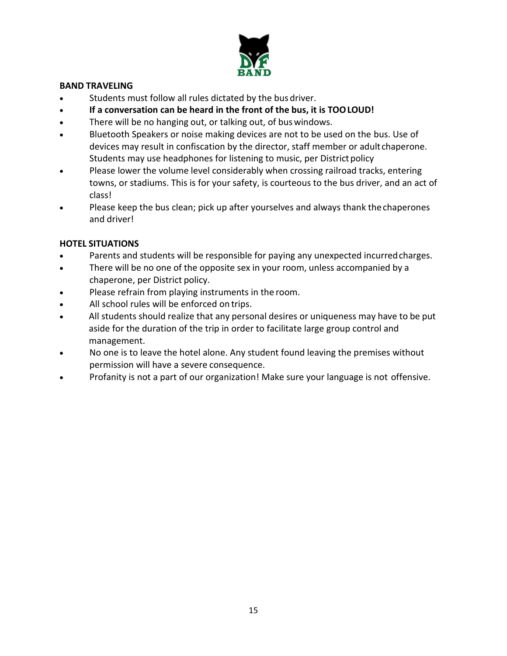

## **BAND TRAVELING**

- Students must follow all rules dictated by the bus driver.
- **If a conversation can be heard in the front of the bus, it is TOOLOUD!**
- There will be no hanging out, or talking out, of bus windows.
- Bluetooth Speakers or noise making devices are not to be used on the bus. Use of devices may result in confiscation by the director, staff member or adult chaperone. Students may use headphones for listening to music, per District policy
- Please lower the volume level considerably when crossing railroad tracks, entering towns, or stadiums. This is for your safety, is courteous to the bus driver, and an act of class!
- Please keep the bus clean; pick up after yourselves and always thank thechaperones and driver!

# **HOTEL SITUATIONS**

- Parents and students will be responsible for paying any unexpected incurred charges.
- There will be no one of the opposite sex in your room, unless accompanied by a chaperone, per District policy.
- Please refrain from playing instruments in the room.
- All school rules will be enforced on trips.
- All students should realize that any personal desires or uniqueness may have to be put aside for the duration of the trip in order to facilitate large group control and management.
- No one is to leave the hotel alone. Any student found leaving the premises without permission will have a severe consequence.
- Profanity is not a part of our organization! Make sure your language is not offensive.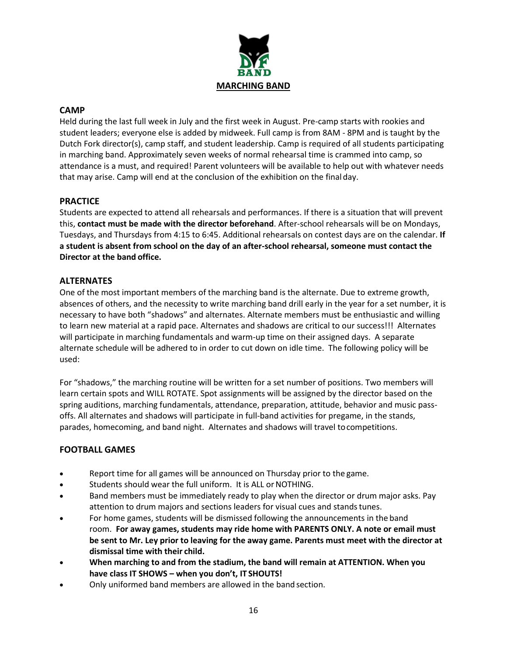

#### **CAMP**

Held during the last full week in July and the first week in August. Pre-camp starts with rookies and student leaders; everyone else is added by midweek. Full camp is from 8AM - 8PM and is taught by the Dutch Fork director(s), camp staff, and student leadership. Camp is required of all students participating in marching band. Approximately seven weeks of normal rehearsal time is crammed into camp, so attendance is a must, and required! Parent volunteers will be available to help out with whatever needs that may arise. Camp will end at the conclusion of the exhibition on the final day.

#### **PRACTICE**

Students are expected to attend all rehearsals and performances. If there is a situation that will prevent this, **contact must be made with the director beforehand**. After-school rehearsals will be on Mondays, Tuesdays, and Thursdays from 4:15 to 6:45. Additional rehearsals on contest days are on the calendar. **If a student is absent from school on the day of an after-school rehearsal, someone must contact the Director at the band office.**

#### **ALTERNATES**

One of the most important members of the marching band is the alternate. Due to extreme growth, absences of others, and the necessity to write marching band drill early in the year for a set number, it is necessary to have both "shadows" and alternates. Alternate members must be enthusiastic and willing to learn new material at a rapid pace. Alternates and shadows are critical to our success!!! Alternates will participate in marching fundamentals and warm-up time on their assigned days. A separate alternate schedule will be adhered to in order to cut down on idle time. The following policy will be used:

For "shadows," the marching routine will be written for a set number of positions. Two members will learn certain spots and WILL ROTATE. Spot assignments will be assigned by the director based on the spring auditions, marching fundamentals, attendance, preparation, attitude, behavior and music passoffs. All alternates and shadows will participate in full-band activities for pregame, in the stands, parades, homecoming, and band night. Alternates and shadows will travel tocompetitions.

#### **FOOTBALL GAMES**

- Report time for all games will be announced on Thursday prior to the game.
- Students should wear the full uniform. It is ALL or NOTHING.
- Band members must be immediately ready to play when the director or drum major asks. Pay attention to drum majors and sections leaders for visual cues and standstunes.
- For home games, students will be dismissed following the announcements in the band room. **For away games, students may ride home with PARENTS ONLY. A note or email must be sent to Mr. Ley prior to leaving for the away game. Parents must meet with the director at dismissal time with their child.**
- **When marching to and from the stadium, the band will remain at ATTENTION. When you have class IT SHOWS – when you don't, IT SHOUTS!**
- Only uniformed band members are allowed in the band section.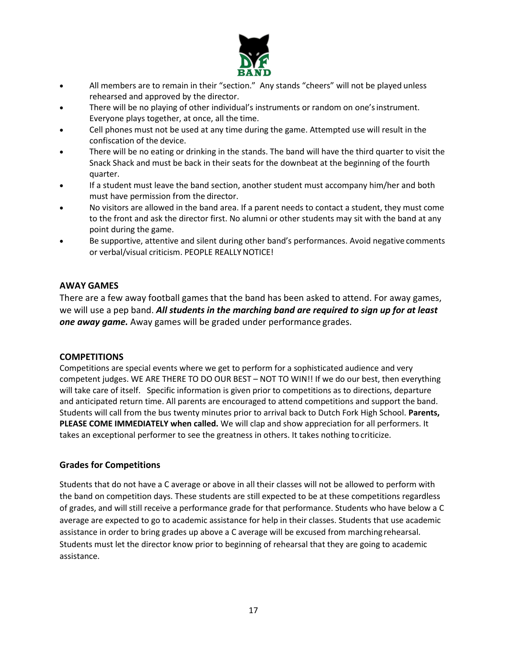

- All members are to remain in their "section." Any stands "cheers" will not be played unless rehearsed and approved by the director.
- There will be no playing of other individual's instruments or random on one's instrument. Everyone plays together, at once, all the time.
- Cell phones must not be used at any time during the game. Attempted use will result in the confiscation of the device.
- There will be no eating or drinking in the stands. The band will have the third quarter to visit the Snack Shack and must be back in their seats for the downbeat at the beginning of the fourth quarter.
- If a student must leave the band section, another student must accompany him/her and both must have permission from the director.
- No visitors are allowed in the band area. If a parent needs to contact a student, they must come to the front and ask the director first. No alumni or other students may sit with the band at any point during the game.
- Be supportive, attentive and silent during other band's performances. Avoid negative comments or verbal/visual criticism. PEOPLE REALLY NOTICE!

#### **AWAY GAMES**

There are a few away football games that the band has been asked to attend. For away games, we will use a pep band. *All students in the marching band are required to sign up for at least one away game.* Away games will be graded under performance grades.

#### **COMPETITIONS**

Competitions are special events where we get to perform for a sophisticated audience and very competent judges. WE ARE THERE TO DO OUR BEST – NOT TO WIN!! If we do our best, then everything will take care of itself. Specific information is given prior to competitions as to directions, departure and anticipated return time. All parents are encouraged to attend competitions and support the band. Students will call from the bus twenty minutes prior to arrival back to Dutch Fork High School. **Parents, PLEASE COME IMMEDIATELY when called.** We will clap and show appreciation for all performers. It takes an exceptional performer to see the greatness in others. It takes nothing tocriticize.

#### **Grades for Competitions**

Students that do not have a C average or above in all their classes will not be allowed to perform with the band on competition days. These students are still expected to be at these competitions regardless of grades, and will still receive a performance grade for that performance. Students who have below a C average are expected to go to academic assistance for help in their classes. Students that use academic assistance in order to bring grades up above a C average will be excused from marching rehearsal. Students must let the director know prior to beginning of rehearsal that they are going to academic assistance.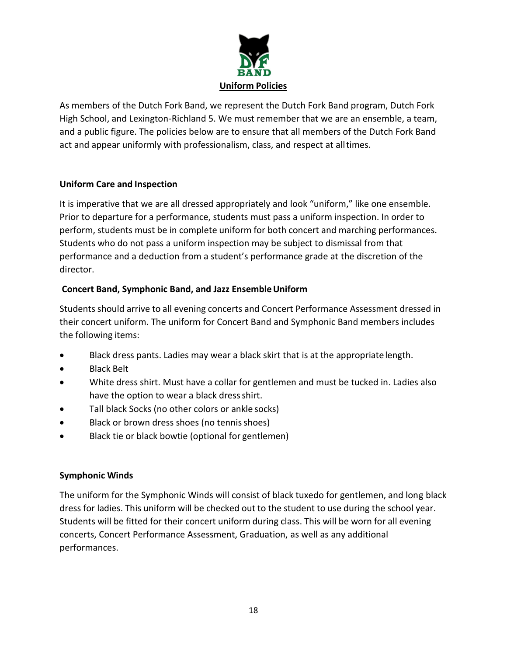

As members of the Dutch Fork Band, we represent the Dutch Fork Band program, Dutch Fork High School, and Lexington-Richland 5. We must remember that we are an ensemble, a team, and a public figure. The policies below are to ensure that all members of the Dutch Fork Band act and appear uniformly with professionalism, class, and respect at alltimes.

# **Uniform Care and Inspection**

It is imperative that we are all dressed appropriately and look "uniform," like one ensemble. Prior to departure for a performance, students must pass a uniform inspection. In order to perform, students must be in complete uniform for both concert and marching performances. Students who do not pass a uniform inspection may be subject to dismissal from that performance and a deduction from a student's performance grade at the discretion of the director.

# **Concert Band, Symphonic Band, and Jazz EnsembleUniform**

Students should arrive to all evening concerts and Concert Performance Assessment dressed in their concert uniform. The uniform for Concert Band and Symphonic Band members includes the following items:

- Black dress pants. Ladies may wear a black skirt that is at the appropriatelength.
- Black Belt
- White dress shirt. Must have a collar for gentlemen and must be tucked in. Ladies also have the option to wear a black dress shirt.
- Tall black Socks (no other colors or ankle socks)
- Black or brown dress shoes (no tennis shoes)
- Black tie or black bowtie (optional for gentlemen)

# **Symphonic Winds**

The uniform for the Symphonic Winds will consist of black tuxedo for gentlemen, and long black dress for ladies. This uniform will be checked out to the student to use during the school year. Students will be fitted for their concert uniform during class. This will be worn for all evening concerts, Concert Performance Assessment, Graduation, as well as any additional performances.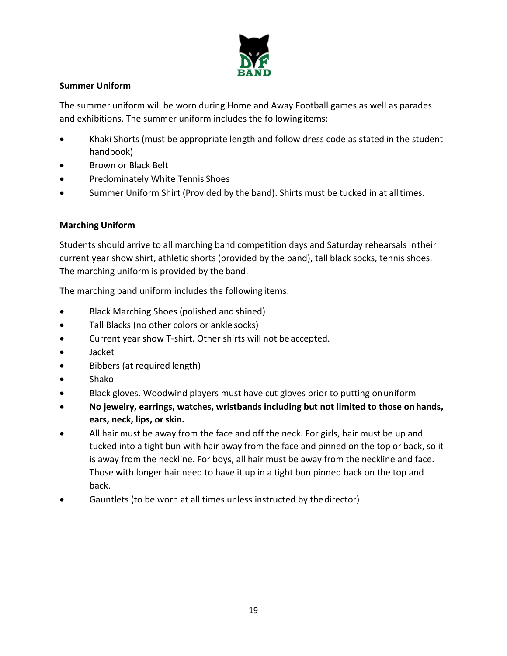

# **Summer Uniform**

The summer uniform will be worn during Home and Away Football games as well as parades and exhibitions. The summer uniform includes the followingitems:

- Khaki Shorts (must be appropriate length and follow dress code as stated in the student handbook)
- Brown or Black Belt
- Predominately White Tennis Shoes
- Summer Uniform Shirt (Provided by the band). Shirts must be tucked in at alltimes.

# **Marching Uniform**

Students should arrive to all marching band competition days and Saturday rehearsals intheir current year show shirt, athletic shorts (provided by the band), tall black socks, tennis shoes. The marching uniform is provided by the band.

The marching band uniform includes the following items:

- Black Marching Shoes (polished and shined)
- Tall Blacks (no other colors or ankle socks)
- Current year show T-shirt. Other shirts will not be accepted.
- Jacket
- Bibbers (at required length)
- Shako
- Black gloves. Woodwind players must have cut gloves prior to putting onuniform
- **No jewelry, earrings, watches, wristbands including but not limited to those onhands, ears, neck, lips, or skin.**
- All hair must be away from the face and off the neck. For girls, hair must be up and tucked into a tight bun with hair away from the face and pinned on the top or back, so it is away from the neckline. For boys, all hair must be away from the neckline and face. Those with longer hair need to have it up in a tight bun pinned back on the top and back.
- Gauntlets (to be worn at all times unless instructed by the director)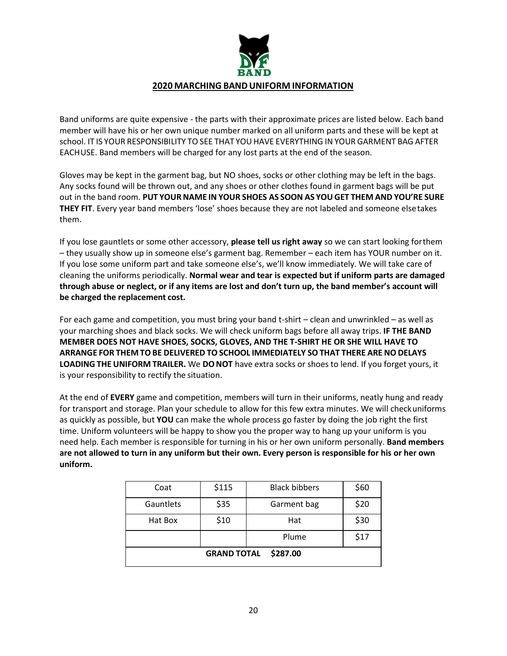

Band uniforms are quite expensive - the parts with their approximate prices are listed below. Each band member will have his or her own unique number marked on all uniform parts and these will be kept at school. IT IS YOUR RESPONSIBILITY TO SEE THAT YOUHAVE EVERYTHING IN YOUR GARMENT BAG AFTER EACHUSE. Band members will be charged for any lost parts at the end of the season.

Gloves may be kept in the garment bag, but NO shoes, socks or other clothing may be left in the bags. Any socks found will be thrown out, and any shoes or other clothes found in garment bags will be put out in the band room. **PUT YOURNAME IN YOUR SHOES AS SOON AS YOU GET THEM AND YOU'RE SURE THEY FIT**. Every year band members 'lose' shoes because they are not labeled and someone elsetakes them.

If you lose gauntlets or some other accessory, **please tell us right away** so we can start looking forthem – they usually show up in someone else's garment bag. Remember – each item has YOUR number on it. If you lose some uniform part and take someone else's, we'll know immediately. We will take care of cleaning the uniforms periodically. **Normal wear and tear is expected but if uniform parts are damaged through abuse or neglect, or if any items are lost and don't turn up, the band member's account will be charged the replacement cost.**

For each game and competition, you must bring your band t-shirt – clean and unwrinkled – as well as your marching shoes and black socks. We will check uniform bags before all away trips. **IF THE BAND MEMBER DOES NOT HAVE SHOES, SOCKS, GLOVES, AND THE T-SHIRT HE OR SHE WILL HAVE TO ARRANGE FOR THEM TOBE DELIVERED TO SCHOOL IMMEDIATELY SO THAT THERE ARE NO DELAYS LOADING THE UNIFORM TRAILER.** We **DONOT** have extra socks or shoes to lend. If you forget yours, it is your responsibility to rectify the situation.

At the end of **EVERY** game and competition, members will turn in their uniforms, neatly hung and ready for transport and storage. Plan your schedule to allow for this few extra minutes. We will checkuniforms as quickly as possible, but **YOU** can make the whole process go faster by doing the job right the first time. Uniform volunteers will be happy to show you the proper way to hang up your uniform is you need help. Each member is responsible for turning in his or her own uniform personally. **Band members are not allowed to turn in any uniform but their own. Every person is responsible for his or her own uniform.**

| Coat                           | \$115 | <b>Black bibbers</b> | \$60 |
|--------------------------------|-------|----------------------|------|
| Gauntlets                      | \$35  | Garment bag          | \$20 |
| Hat Box                        | \$10  | Hat                  | \$30 |
|                                |       | Plume                | \$17 |
| \$287.00<br><b>GRAND TOTAL</b> |       |                      |      |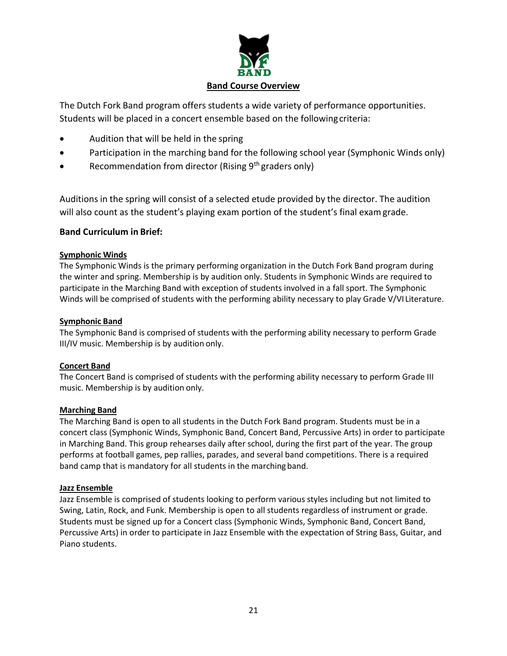

The Dutch Fork Band program offers students a wide variety of performance opportunities. Students will be placed in a concert ensemble based on the following criteria:

- Audition that will be held in the spring
- Participation in the marching band for the following school year (Symphonic Winds only)
- Recommendation from director (Rising  $9<sup>th</sup>$  graders only)

Auditions in the spring will consist of a selected etude provided by the director. The audition will also count as the student's playing exam portion of the student's final examgrade.

# **Band Curriculum in Brief:**

#### **Symphonic Winds**

The Symphonic Winds is the primary performing organization in the Dutch Fork Band program during the winter and spring. Membership is by audition only. Students in Symphonic Winds are required to participate in the Marching Band with exception of students involved in a fall sport. The Symphonic Winds will be comprised of students with the performing ability necessary to play Grade V/VI Literature.

#### **Symphonic Band**

The Symphonic Band is comprised of students with the performing ability necessary to perform Grade III/IV music. Membership is by audition only.

#### **Concert Band**

The Concert Band is comprised of students with the performing ability necessary to perform Grade III music. Membership is by audition only.

#### **Marching Band**

The Marching Band is open to all students in the Dutch Fork Band program. Students must be in a concert class (Symphonic Winds, Symphonic Band, Concert Band, Percussive Arts) in order to participate in Marching Band. This group rehearses daily after school, during the first part of the year. The group performs at football games, pep rallies, parades, and several band competitions. There is a required band camp that is mandatory for all students in the marching band.

#### **Jazz Ensemble**

Jazz Ensemble is comprised of students looking to perform various styles including but not limited to Swing, Latin, Rock, and Funk. Membership is open to all students regardless of instrument or grade. Students must be signed up for a Concert class (Symphonic Winds, Symphonic Band, Concert Band, Percussive Arts) in order to participate in Jazz Ensemble with the expectation of String Bass, Guitar, and Piano students.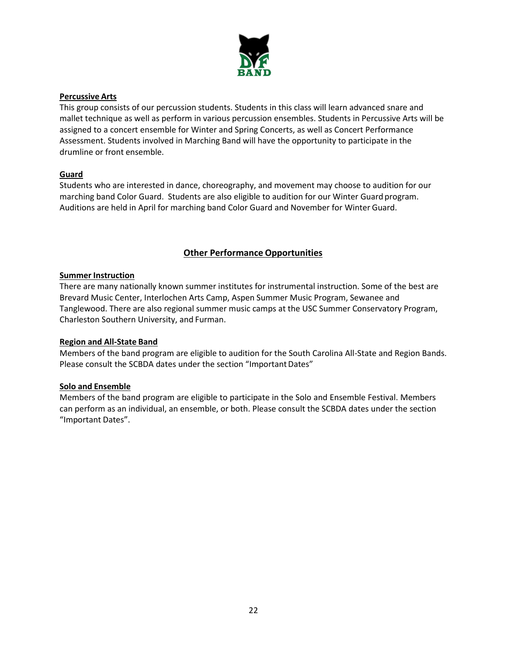

#### **Percussive Arts**

This group consists of our percussion students. Students in this class will learn advanced snare and mallet technique as well as perform in various percussion ensembles. Students in Percussive Arts will be assigned to a concert ensemble for Winter and Spring Concerts, as well as Concert Performance Assessment. Students involved in Marching Band will have the opportunity to participate in the drumline or front ensemble.

#### **Guard**

Students who are interested in dance, choreography, and movement may choose to audition for our marching band Color Guard. Students are also eligible to audition for our Winter Guard program. Auditions are held in April for marching band Color Guard and November for Winter Guard.

# **Other Performance Opportunities**

#### **Summer Instruction**

There are many nationally known summer institutes for instrumental instruction. Some of the best are Brevard Music Center, Interlochen Arts Camp, Aspen Summer Music Program, Sewanee and Tanglewood. There are also regional summer music camps at the USC Summer Conservatory Program, Charleston Southern University, and Furman.

#### **Region and All-State Band**

Members of the band program are eligible to audition for the South Carolina All-State and Region Bands. Please consult the SCBDA dates under the section "Important Dates"

#### **Solo and Ensemble**

Members of the band program are eligible to participate in the Solo and Ensemble Festival. Members can perform as an individual, an ensemble, or both. Please consult the SCBDA dates under the section "Important Dates".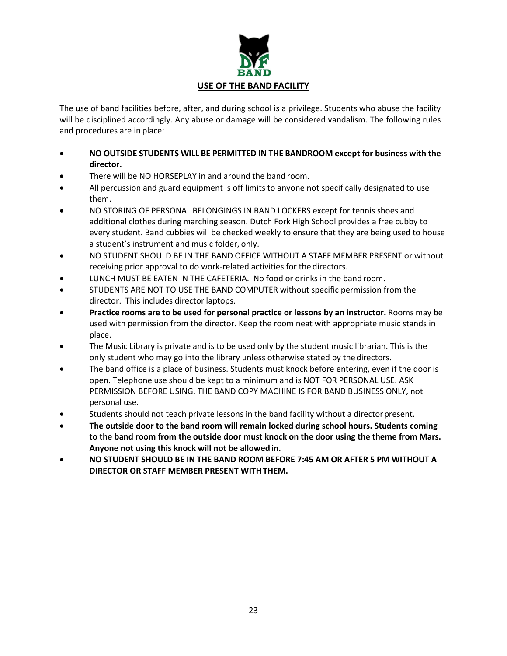

The use of band facilities before, after, and during school is a privilege. Students who abuse the facility will be disciplined accordingly. Any abuse or damage will be considered vandalism. The following rules and procedures are in place:

- **NO OUTSIDE STUDENTS WILL BE PERMITTED IN THE BANDROOM except for business with the director.**
- There will be NO HORSEPLAY in and around the band room.
- All percussion and guard equipment is off limits to anyone not specifically designated to use them.
- NO STORING OF PERSONAL BELONGINGS IN BAND LOCKERS except for tennis shoes and additional clothes during marching season. Dutch Fork High School provides a free cubby to every student. Band cubbies will be checked weekly to ensure that they are being used to house a student's instrument and music folder, only.
- NO STUDENT SHOULD BE IN THE BAND OFFICE WITHOUT A STAFF MEMBER PRESENT or without receiving prior approval to do work-related activities for the directors.
- LUNCH MUST BE EATEN IN THE CAFETERIA. No food or drinks in the band room.
- STUDENTS ARE NOT TO USE THE BAND COMPUTER without specific permission from the director. This includes director laptops.
- **Practice rooms are to be used for personal practice or lessons by an instructor.** Rooms may be used with permission from the director. Keep the room neat with appropriate music stands in place.
- The Music Library is private and is to be used only by the student music librarian. This is the only student who may go into the library unless otherwise stated by thedirectors.
- The band office is a place of business. Students must knock before entering, even if the door is open. Telephone use should be kept to a minimum and is NOT FOR PERSONAL USE. ASK PERMISSION BEFORE USING. THE BAND COPY MACHINE IS FOR BAND BUSINESS ONLY, not personal use.
- Students should not teach private lessons in the band facility without a director present.
- **The outside door to the band room will remain locked during school hours. Students coming to the band room from the outside door must knock on the door using the theme from Mars. Anyone not using this knock will not be allowed in.**
- **NO STUDENT SHOULD BE IN THE BAND ROOM BEFORE 7:45 AM OR AFTER 5 PM WITHOUT A DIRECTOR OR STAFF MEMBER PRESENT WITHTHEM.**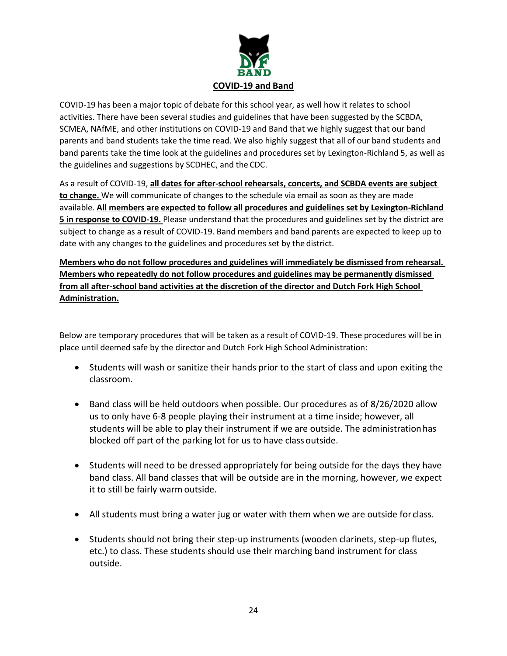

COVID-19 has been a major topic of debate for this school year, as well how it relates to school activities. There have been several studies and guidelines that have been suggested by the SCBDA, SCMEA, NAfME, and other institutions on COVID-19 and Band that we highly suggest that our band parents and band students take the time read. We also highly suggest that all of our band students and band parents take the time look at the guidelines and procedures set by Lexington-Richland 5, as well as the guidelines and suggestions by SCDHEC, and the CDC.

As a result of COVID-19, **all dates for after-school rehearsals, concerts, and SCBDA events are subject to change.** We will communicate of changes to the schedule via email as soon as they are made available. **All members are expected to follow all procedures and guidelines set by Lexington-Richland 5 in response to COVID-19.** Please understand that the procedures and guidelines set by the district are subject to change as a result of COVID-19. Band members and band parents are expected to keep up to date with any changes to the guidelines and procedures set by the district.

**Members who do not follow procedures and guidelines will immediately be dismissed from rehearsal. Members who repeatedly do not follow procedures and guidelines may be permanently dismissed from all after-school band activities at the discretion of the director and Dutch Fork High School Administration.**

Below are temporary procedures that will be taken as a result of COVID-19. These procedures will be in place until deemed safe by the director and Dutch Fork High School Administration:

- Students will wash or sanitize their hands prior to the start of class and upon exiting the classroom.
- Band class will be held outdoors when possible. Our procedures as of 8/26/2020 allow us to only have 6-8 people playing their instrument at a time inside; however, all students will be able to play their instrument if we are outside. The administrationhas blocked off part of the parking lot for us to have class outside.
- Students will need to be dressed appropriately for being outside for the days they have band class. All band classes that will be outside are in the morning, however, we expect it to still be fairly warm outside.
- All students must bring a water jug or water with them when we are outside for class.
- Students should not bring their step-up instruments (wooden clarinets, step-up flutes, etc.) to class. These students should use their marching band instrument for class outside.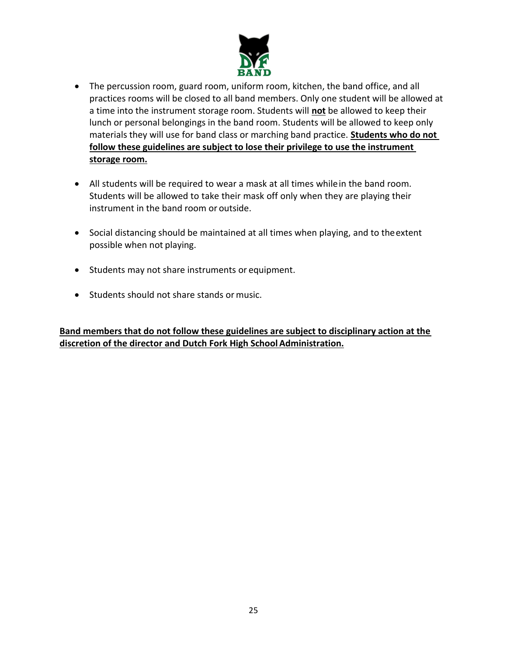

- The percussion room, guard room, uniform room, kitchen, the band office, and all practices rooms will be closed to all band members. Only one student will be allowed at a time into the instrument storage room. Students will **not** be allowed to keep their lunch or personal belongings in the band room. Students will be allowed to keep only materials they will use for band class or marching band practice. **Students who do not follow these guidelines are subject to lose their privilege to use the instrument storage room.**
- All students will be required to wear a mask at all times whilein the band room. Students will be allowed to take their mask off only when they are playing their instrument in the band room or outside.
- Social distancing should be maintained at all times when playing, and to theextent possible when not playing.
- Students may not share instruments or equipment.
- Students should not share stands or music.

**Band members that do not follow these guidelines are subject to disciplinary action at the**  discretion of the director and Dutch Fork High School Administration.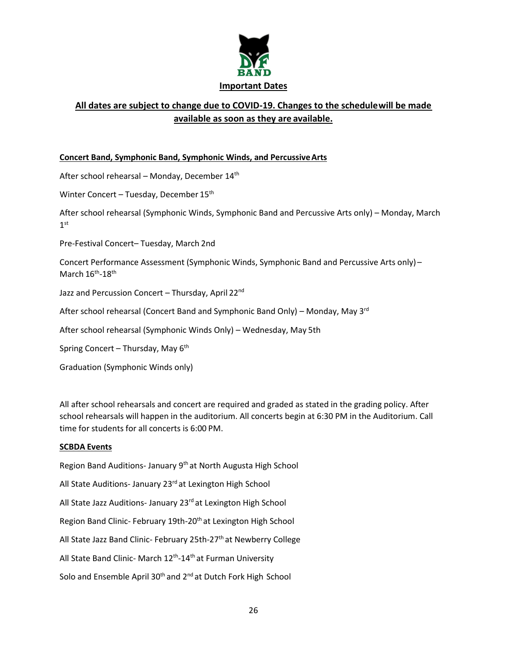

# **All dates are subject to change due to COVID-19. Changes to the schedulewill be made available as soon as they are available.**

# **Concert Band, Symphonic Band, Symphonic Winds, and PercussiveArts**

After school rehearsal – Monday, December 14<sup>th</sup>

Winter Concert – Tuesday, December 15<sup>th</sup>

After school rehearsal (Symphonic Winds, Symphonic Band and Percussive Arts only) – Monday, March 1 st

Pre-Festival Concert– Tuesday, March 2nd

Concert Performance Assessment (Symphonic Winds, Symphonic Band and Percussive Arts only) – March  $16^{\text{th}}$ -18<sup>th</sup>

Jazz and Percussion Concert - Thursday, April 22<sup>nd</sup>

After school rehearsal (Concert Band and Symphonic Band Only) – Monday, May 3<sup>rd</sup>

After school rehearsal (Symphonic Winds Only) – Wednesday, May 5th

Spring Concert – Thursday, May  $6<sup>th</sup>$ 

Graduation (Symphonic Winds only)

All after school rehearsals and concert are required and graded as stated in the grading policy. After school rehearsals will happen in the auditorium. All concerts begin at 6:30 PM in the Auditorium. Call time for students for all concerts is 6:00 PM.

#### **SCBDA Events**

Region Band Auditions- January 9th at North Augusta High School All State Auditions- January 23<sup>rd</sup> at Lexington High School All State Jazz Auditions- January 23<sup>rd</sup> at Lexington High School Region Band Clinic- February 19th-20<sup>th</sup> at Lexington High School All State Jazz Band Clinic- February 25th-27<sup>th</sup> at Newberry College All State Band Clinic- March 12<sup>th</sup>-14<sup>th</sup> at Furman University Solo and Ensemble April 30<sup>th</sup> and 2<sup>nd</sup> at Dutch Fork High School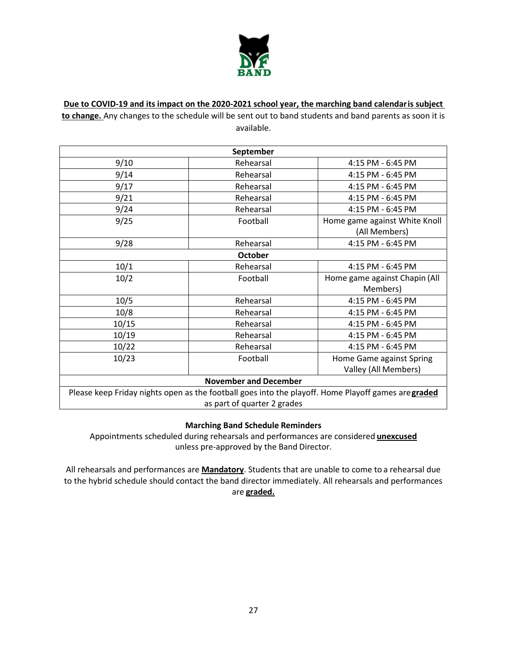

**Due to COVID-19 and its impact on the 2020-2021 school year, the marching band calendaris subject** 

**to change.** Any changes to the schedule will be sent out to band students and band parents as soon it is available.

| September                                                                                                                          |           |                               |
|------------------------------------------------------------------------------------------------------------------------------------|-----------|-------------------------------|
| 9/10                                                                                                                               | Rehearsal | 4:15 PM - 6:45 PM             |
| 9/14                                                                                                                               | Rehearsal | 4:15 PM - 6:45 PM             |
| 9/17                                                                                                                               | Rehearsal | 4:15 PM - 6:45 PM             |
| 9/21                                                                                                                               | Rehearsal | 4:15 PM - 6:45 PM             |
| 9/24                                                                                                                               | Rehearsal | 4:15 PM - 6:45 PM             |
| 9/25                                                                                                                               | Football  | Home game against White Knoll |
|                                                                                                                                    |           | (All Members)                 |
| 9/28                                                                                                                               | Rehearsal | 4:15 PM - 6:45 PM             |
| <b>October</b>                                                                                                                     |           |                               |
| 10/1                                                                                                                               | Rehearsal | 4:15 PM - 6:45 PM             |
| 10/2                                                                                                                               | Football  | Home game against Chapin (All |
|                                                                                                                                    |           | Members)                      |
| 10/5                                                                                                                               | Rehearsal | 4:15 PM - 6:45 PM             |
| 10/8                                                                                                                               | Rehearsal | 4:15 PM - 6:45 PM             |
| 10/15                                                                                                                              | Rehearsal | 4:15 PM - 6:45 PM             |
| 10/19                                                                                                                              | Rehearsal | 4:15 PM - 6:45 PM             |
| 10/22                                                                                                                              | Rehearsal | 4:15 PM - 6:45 PM             |
| 10/23                                                                                                                              | Football  | Home Game against Spring      |
|                                                                                                                                    |           | Valley (All Members)          |
| <b>November and December</b>                                                                                                       |           |                               |
| Please keep Friday nights open as the football goes into the playoff. Home Playoff games are graded<br>as part of quarter 2 grades |           |                               |

# **Marching Band Schedule Reminders**

Appointments scheduled during rehearsals and performances are considered **unexcused** unless pre-approved by the Band Director.

All rehearsals and performances are **Mandatory**. Students that are unable to come to a rehearsal due to the hybrid schedule should contact the band director immediately. All rehearsals and performances are **graded.**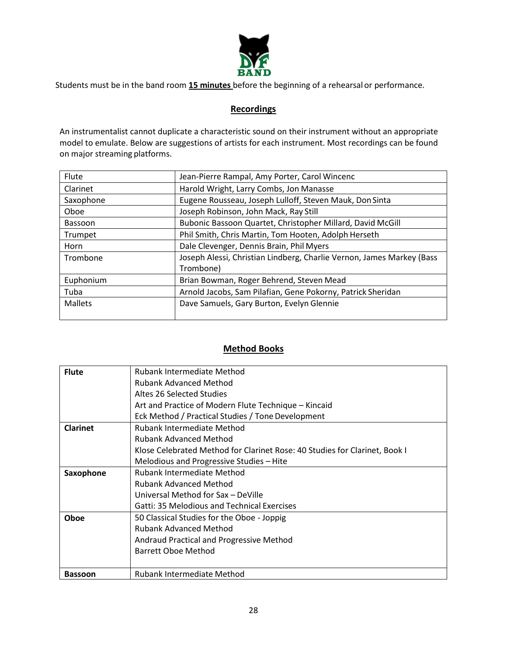

Students must be in the band room **15 minutes** before the beginning of a rehearsal or performance.

# **Recordings**

An instrumentalist cannot duplicate a characteristic sound on their instrument without an appropriate model to emulate. Below are suggestions of artists for each instrument. Most recordings can be found on major streaming platforms.

| Flute          | Jean-Pierre Rampal, Amy Porter, Carol Wincenc                         |
|----------------|-----------------------------------------------------------------------|
| Clarinet       | Harold Wright, Larry Combs, Jon Manasse                               |
| Saxophone      | Eugene Rousseau, Joseph Lulloff, Steven Mauk, Don Sinta               |
| Oboe           | Joseph Robinson, John Mack, Ray Still                                 |
| <b>Bassoon</b> | Bubonic Bassoon Quartet, Christopher Millard, David McGill            |
| Trumpet        | Phil Smith, Chris Martin, Tom Hooten, Adolph Herseth                  |
| Horn           | Dale Clevenger, Dennis Brain, Phil Myers                              |
| Trombone       | Joseph Alessi, Christian Lindberg, Charlie Vernon, James Markey (Bass |
|                | Trombone)                                                             |
| Euphonium      | Brian Bowman, Roger Behrend, Steven Mead                              |
| Tuba           | Arnold Jacobs, Sam Pilafian, Gene Pokorny, Patrick Sheridan           |
| <b>Mallets</b> | Dave Samuels, Gary Burton, Evelyn Glennie                             |
|                |                                                                       |

# **Method Books**

| Rubank Intermediate Method                                                 |
|----------------------------------------------------------------------------|
| <b>Rubank Advanced Method</b>                                              |
| Altes 26 Selected Studies                                                  |
| Art and Practice of Modern Flute Technique - Kincaid                       |
| Eck Method / Practical Studies / Tone Development                          |
| Rubank Intermediate Method                                                 |
| <b>Rubank Advanced Method</b>                                              |
| Klose Celebrated Method for Clarinet Rose: 40 Studies for Clarinet, Book I |
| Melodious and Progressive Studies - Hite                                   |
| Rubank Intermediate Method                                                 |
| <b>Rubank Advanced Method</b>                                              |
| Universal Method for Sax - DeVille                                         |
| Gatti: 35 Melodious and Technical Exercises                                |
| 50 Classical Studies for the Oboe - Joppig                                 |
| <b>Rubank Advanced Method</b>                                              |
| Andraud Practical and Progressive Method                                   |
| Barrett Oboe Method                                                        |
|                                                                            |
| Rubank Intermediate Method                                                 |
|                                                                            |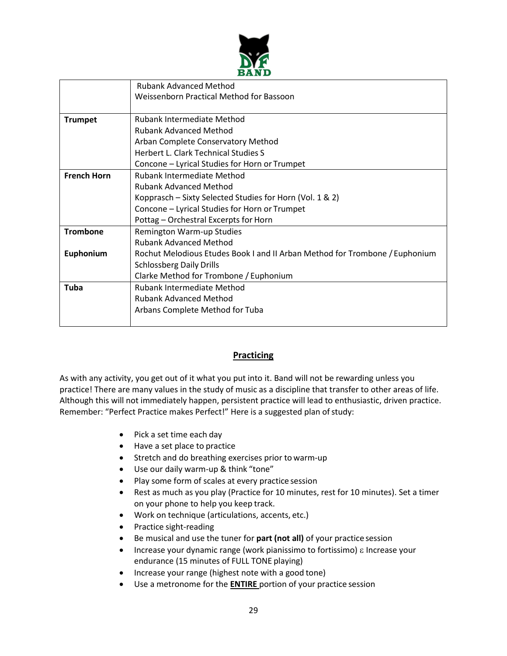

|                    | <b>Rubank Advanced Method</b>                                               |
|--------------------|-----------------------------------------------------------------------------|
|                    | Weissenborn Practical Method for Bassoon                                    |
|                    |                                                                             |
| <b>Trumpet</b>     | <b>Rubank Intermediate Method</b>                                           |
|                    | <b>Rubank Advanced Method</b>                                               |
|                    | Arban Complete Conservatory Method                                          |
|                    | <b>Herbert L. Clark Technical Studies S</b>                                 |
|                    | Concone - Lyrical Studies for Horn or Trumpet                               |
| <b>French Horn</b> | <b>Rubank Intermediate Method</b>                                           |
|                    | <b>Rubank Advanced Method</b>                                               |
|                    | Kopprasch - Sixty Selected Studies for Horn (Vol. 1 & 2)                    |
|                    | Concone - Lyrical Studies for Horn or Trumpet                               |
|                    | Pottag - Orchestral Excerpts for Horn                                       |
| <b>Trombone</b>    | Remington Warm-up Studies                                                   |
|                    | <b>Rubank Advanced Method</b>                                               |
| Euphonium          | Rochut Melodious Etudes Book I and II Arban Method for Trombone / Euphonium |
|                    | <b>Schlossberg Daily Drills</b>                                             |
|                    | Clarke Method for Trombone / Euphonium                                      |
| Tuba               | <b>Rubank Intermediate Method</b>                                           |
|                    | <b>Rubank Advanced Method</b>                                               |
|                    | Arbans Complete Method for Tuba                                             |
|                    |                                                                             |

# **Practicing**

As with any activity, you get out of it what you put into it. Band will not be rewarding unless you practice! There are many values in the study of music as a discipline that transfer to other areas of life. Although this will not immediately happen, persistent practice will lead to enthusiastic, driven practice. Remember: "Perfect Practice makes Perfect!" Here is a suggested plan of study:

- Pick a set time each day
- Have a set place to practice
- Stretch and do breathing exercises prior to warm-up
- Use our daily warm-up & think "tone"
- Play some form of scales at every practice session
- Rest as much as you play (Practice for 10 minutes, rest for 10 minutes). Set a timer on your phone to help you keep track.
- Work on technique (articulations, accents, etc.)
- Practice sight-reading
- Be musical and use the tuner for **part (not all)** of your practice session
- Increase your dynamic range (work pianissimo to fortissimo)  $\varepsilon$  Increase your endurance (15 minutes of FULL TONE playing)
- Increase your range (highest note with a good tone)
- Use a metronome for the **ENTIRE** portion of your practice session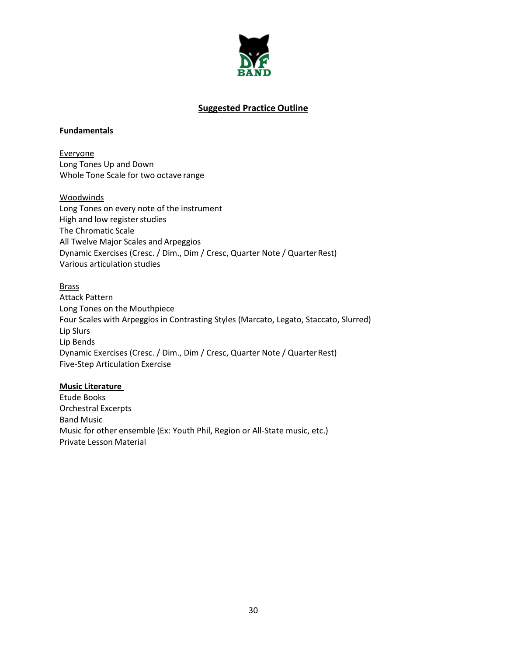

#### **Suggested Practice Outline**

#### **Fundamentals**

Everyone Long Tones Up and Down Whole Tone Scale for two octave range

#### Woodwinds

Long Tones on every note of the instrument High and low register studies The Chromatic Scale All Twelve Major Scales and Arpeggios Dynamic Exercises (Cresc. / Dim., Dim / Cresc, Quarter Note / Quarter Rest) Various articulation studies

#### Brass

Attack Pattern Long Tones on the Mouthpiece Four Scales with Arpeggios in Contrasting Styles (Marcato, Legato, Staccato, Slurred) Lip Slurs Lip Bends Dynamic Exercises (Cresc. / Dim., Dim / Cresc, Quarter Note / Quarter Rest) Five-Step Articulation Exercise

#### **Music Literature**

Etude Books Orchestral Excerpts Band Music Music for other ensemble (Ex: Youth Phil, Region or All-State music, etc.) Private Lesson Material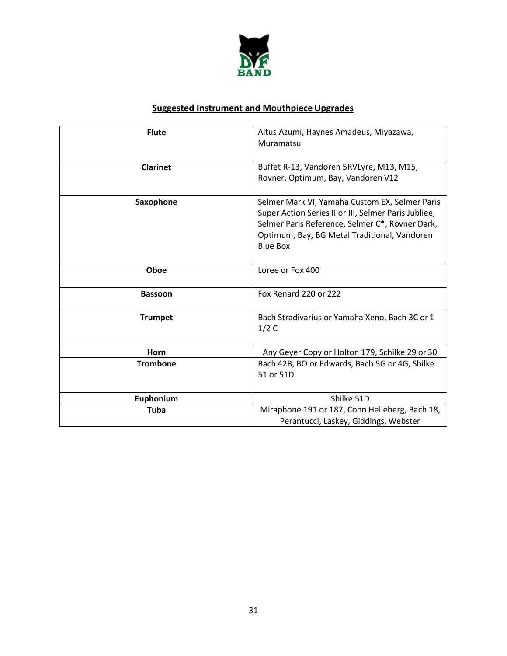

# **Suggested Instrument and Mouthpiece Upgrades**

| <b>Flute</b>    | Altus Azumi, Haynes Amadeus, Miyazawa,<br>Muramatsu                                                                                                                                                                          |
|-----------------|------------------------------------------------------------------------------------------------------------------------------------------------------------------------------------------------------------------------------|
| <b>Clarinet</b> | Buffet R-13, Vandoren 5RVLyre, M13, M15,<br>Rovner, Optimum, Bay, Vandoren V12                                                                                                                                               |
| Saxophone       | Selmer Mark VI, Yamaha Custom EX, Selmer Paris<br>Super Action Series II or III, Selmer Paris Jubliee,<br>Selmer Paris Reference, Selmer C*, Rovner Dark,<br>Optimum, Bay, BG Metal Traditional, Vandoren<br><b>Blue Box</b> |
| Oboe            | Loree or Fox 400                                                                                                                                                                                                             |
| <b>Bassoon</b>  | Fox Renard 220 or 222                                                                                                                                                                                                        |
| <b>Trumpet</b>  | Bach Stradivarius or Yamaha Xeno, Bach 3C or 1<br>1/2C                                                                                                                                                                       |
| Horn            | Any Geyer Copy or Holton 179, Schilke 29 or 30                                                                                                                                                                               |
| <b>Trombone</b> | Bach 42B, BO or Edwards, Bach 5G or 4G, Shilke<br>51 or 51D                                                                                                                                                                  |
| Euphonium       | Shilke 51D                                                                                                                                                                                                                   |
| <b>Tuba</b>     | Miraphone 191 or 187, Conn Helleberg, Bach 18,<br>Perantucci, Laskey, Giddings, Webster                                                                                                                                      |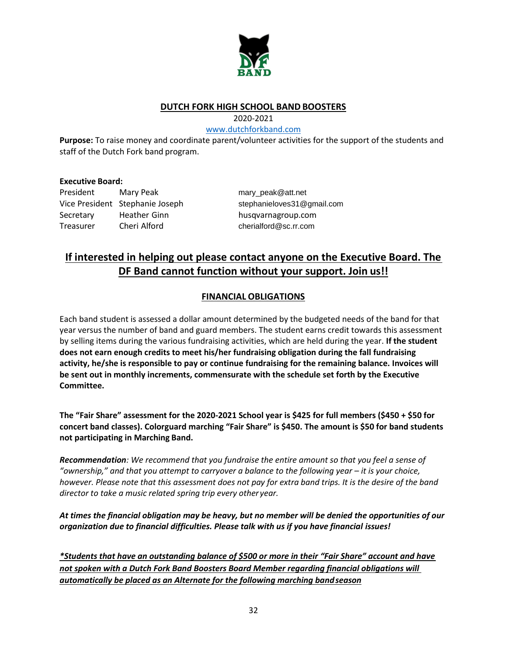

# **DUTCH FORK HIGH SCHOOL BAND BOOSTERS**

2020-2021

#### [www.dutchforkband.com](http://www.dutchforkband.com/)

**Purpose:** To raise money and coordinate parent/volunteer activities for the support of the students and staff of the Dutch Fork band program.

#### **Executive Board:**

President Mary Peak [mary\\_peak@att.net](mailto:mary_peak@att.net) Vice President Stephanie Joseph [stephanieloves31@gmail.com](mailto:stephanieloves31@gmail.com) Secretary Heather Ginn husqvarnagroup.com Treasurer Cheri Alford [cherialford@sc.rr.com](mailto:cherialford@sc.rr.com)

# **If interested in helping out please contact anyone on the Executive Board. The DF Band cannot function without your support. Join us!!**

# **FINANCIAL OBLIGATIONS**

Each band student is assessed a dollar amount determined by the budgeted needs of the band for that year versus the number of band and guard members. The student earns credit towards this assessment by selling items during the various fundraising activities, which are held during the year. **If the student does not earn enough credits to meet his/her fundraising obligation during the fall fundraising activity, he/she is responsible to pay or continue fundraising for the remaining balance. Invoices will be sent out in monthly increments, commensurate with the schedule set forth by the Executive Committee.**

**The "Fair Share" assessment for the 2020-2021 School year is \$425 for full members (\$450 + \$50 for concert band classes). Colorguard marching "Fair Share" is \$450. The amount is \$50 for band students not participating in Marching Band.**

*Recommendation: We recommend that you fundraise the entire amount so that you feel a sense of*  "ownership," and that you attempt to carryover a balance to the following year – it is your choice, *however. Please note that this assessment does not pay for extra band trips. It is the desire of the band director to take a music related spring trip every other year.*

*At times the financial obligation may be heavy, but no member will be denied the opportunities of our organization due to financial difficulties. Please talk with us if you have financial issues!*

*\*Students that have an outstanding balance of \$500 or more in their "Fair Share" account and have not spoken with a Dutch Fork Band Boosters Board Member regarding financial obligations will automatically be placed as an Alternate for the following marching bandseason*